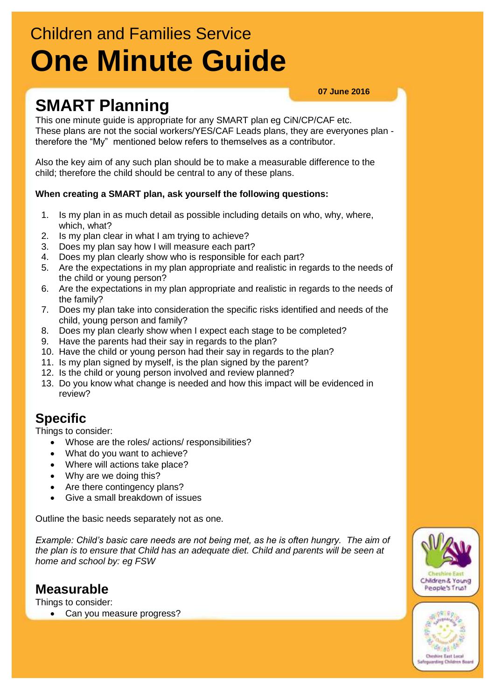# Children and Families Service **One Minute Guide**

## **SMART Planning**

#### **07 June 2016**

This one minute guide is appropriate for any SMART plan eg CiN/CP/CAF etc. These plans are not the social workers/YES/CAF Leads plans, they are everyones plan therefore the "My" mentioned below refers to themselves as a contributor.

Also the key aim of any such plan should be to make a measurable difference to the child; therefore the child should be central to any of these plans.

#### **When creating a SMART plan, ask yourself the following questions:**

- 1. Is my plan in as much detail as possible including details on who, why, where, which, what?
- 2. Is my plan clear in what I am trying to achieve?
- 3. Does my plan say how I will measure each part?
- 4. Does my plan clearly show who is responsible for each part?
- 5. Are the expectations in my plan appropriate and realistic in regards to the needs of the child or young person?
- 6. Are the expectations in my plan appropriate and realistic in regards to the needs of the family?
- 7. Does my plan take into consideration the specific risks identified and needs of the child, young person and family?
- 8. Does my plan clearly show when I expect each stage to be completed?
- 9. Have the parents had their say in regards to the plan?
- 10. Have the child or young person had their say in regards to the plan?
- 11. Is my plan signed by myself, is the plan signed by the parent?
- 12. Is the child or young person involved and review planned?
- 13. Do you know what change is needed and how this impact will be evidenced in review?

## **Specific**

Things to consider:

- Whose are the roles/ actions/ responsibilities?
- What do you want to achieve?
- Where will actions take place?
- Why are we doing this?
- Are there contingency plans?
- Give a small breakdown of issues

Outline the basic needs separately not as one.

*Example: Child's basic care needs are not being met, as he is often hungry. The aim of the plan is to ensure that Child has an adequate diet. Child and parents will be seen at home and school by: eg FSW*

#### **Measurable**

Things to consider:

Can you measure progress?